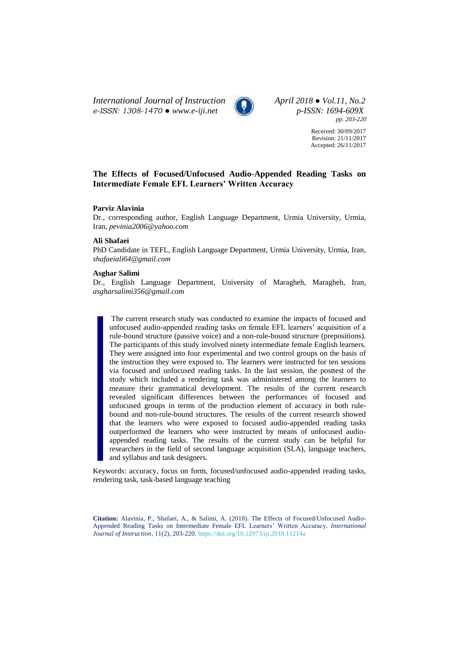*International Journal of Instruction April 2018 ● Vol.11, No.2 e-ISSN: 1308-1470 ● [www.e-iji.net](http://www.e-iji.net/) p-ISSN: 1694-609X*



*pp. 203-220*

Received: 30/09/2017 Revision: 21/11/2017 Accepted: 26/11/2017

# **The Effects of Focused/Unfocused Audio-Appended Reading Tasks on Intermediate Female EFL Learners' Written Accuracy**

### **Parviz Alavinia**

Dr., corresponding author, English Language Department, Urmia University, Urmia, Iran, *[pevinia2006@yahoo.com](mailto:Pevinia2006@yahoo.com)*

#### **Ali Shafaei**

PhD Candidate in TEFL, English Language Department, Urmia University, Urmia, Iran, *[shafaeiali64@gmail.com](mailto:Shafaeiali64@gmail.com)*

# **Asghar Salimi**

Dr., English Language Department, University of Maragheh, Maragheh, Iran, *[asgharsalimi356@gmail.com](mailto:Asgharsalimi356@gmail.com)*

The current research study was conducted to examine the impacts of focused and unfocused audio-appended reading tasks on female EFL learners' acquisition of a rule-bound structure (passive voice) and a non-rule-bound structure (prepositions). The participants of this study involved ninety intermediate female English learners. They were assigned into four experimental and two control groups on the basis of the instruction they were exposed to. The learners were instructed for ten sessions via focused and unfocused reading tasks. In the last session, the posttest of the study which included a rendering task was administered among the learners to measure their grammatical development. The results of the current research revealed significant differences between the performances of focused and unfocused groups in terms of the production element of accuracy in both rulebound and non-rule-bound structures. The results of the current research showed that the learners who were exposed to focused audio-appended reading tasks outperformed the learners who were instructed by means of unfocused audioappended reading tasks. The results of the current study can be helpful for researchers in the field of second language acquisition (SLA), language teachers, and syllabus and task designers.

Keywords: accuracy, focus on form, focused/unfocused audio-appended reading tasks, rendering task, task-based language teaching

**Citation:** Alavinia, P., Shafaei, A., & Salimi, A. (2018). The Effects of Focused/Unfocused Audio-Appended Reading Tasks on Intermediate Female EFL Learners' Written Accuracy. *International Journal of Instruction*, 11(2), 203-220. <https://doi.org/10.12973/iji.2018.11214a>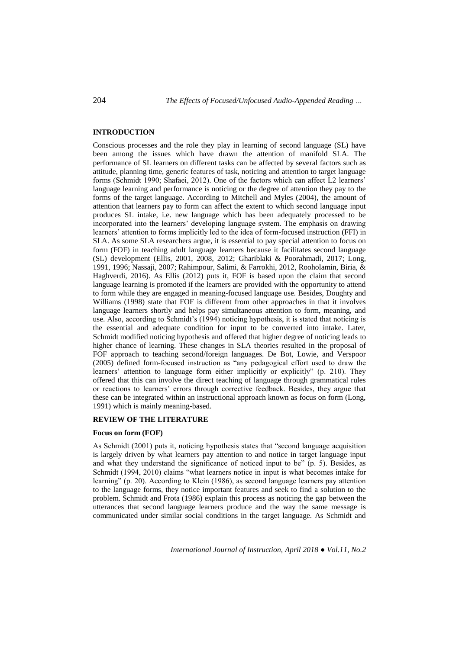## **INTRODUCTION**

Conscious processes and the role they play in learning of second language (SL) have been among the issues which have drawn the attention of manifold SLA. The performance of SL learners on different tasks can be affected by several factors such as attitude, planning time, generic features of task, noticing and attention to target language forms (Schmidt 1990; Shafaei, 2012). One of the factors which can affect L2 learners' language learning and performance is noticing or the degree of attention they pay to the forms of the target language. According to Mitchell and Myles (2004), the amount of attention that learners pay to form can affect the extent to which second language input produces SL intake, i.e. new language which has been adequately processed to be incorporated into the learners' developing language system. The emphasis on drawing learners' attention to forms implicitly led to the idea of form-focused instruction (FFI) in SLA. As some SLA researchers argue, it is essential to pay special attention to focus on form (FOF) in teaching adult language learners because it facilitates second language (SL) development (Ellis, 2001, 2008, 2012; Ghariblaki & Poorahmadi, 2017; Long, 1991, 1996; Nassaji, 2007; Rahimpour, Salimi, & Farrokhi, 2012, Rooholamin, Biria, & Haghverdi, 2016). As Ellis (2012) puts it, FOF is based upon the claim that second language learning is promoted if the learners are provided with the opportunity to attend to form while they are engaged in meaning-focused language use. Besides, Doughty and Williams (1998) state that FOF is different from other approaches in that it involves language learners shortly and helps pay simultaneous attention to form, meaning, and use. Also, according to Schmidt's (1994) noticing hypothesis, it is stated that noticing is the essential and adequate condition for input to be converted into intake. Later, Schmidt modified noticing hypothesis and offered that higher degree of noticing leads to higher chance of learning. These changes in SLA theories resulted in the proposal of FOF approach to teaching second/foreign languages. De Bot, Lowie, and Verspoor (2005) defined form-focused instruction as "any pedagogical effort used to draw the learners' attention to language form either implicitly or explicitly" (p. 210). They offered that this can involve the direct teaching of language through grammatical rules or reactions to learners' errors through corrective feedback. Besides, they argue that these can be integrated within an instructional approach known as focus on form (Long, 1991) which is mainly meaning-based.

## **REVIEW OF THE LITERATURE**

#### **Focus on form (FOF)**

As Schmidt (2001) puts it, noticing hypothesis states that "second language acquisition is largely driven by what learners pay attention to and notice in target language input and what they understand the significance of noticed input to be" (p. 5). Besides, as Schmidt (1994, 2010) claims "what learners notice in input is what becomes intake for learning" (p. 20). According to Klein (1986), as second language learners pay attention to the language forms, they notice important features and seek to find a solution to the problem. Schmidt and Frota (1986) explain this process as noticing the gap between the utterances that second language learners produce and the way the same message is communicated under similar social conditions in the target language. As Schmidt and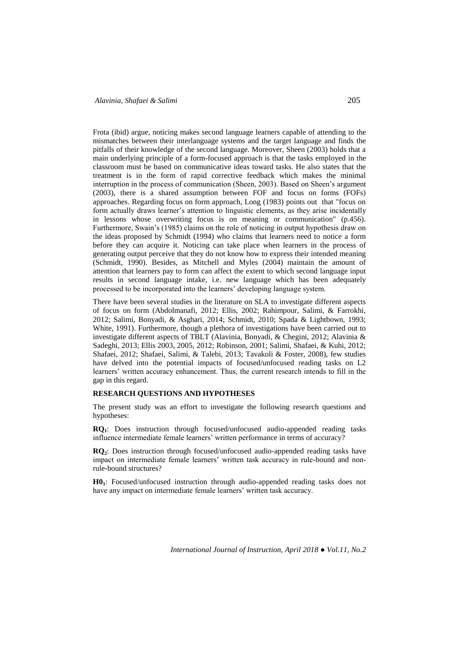Frota (ibid) argue, noticing makes second language learners capable of attending to the mismatches between their interlanguage systems and the target language and finds the pitfalls of their knowledge of the second language. Moreover, Sheen (2003) holds that a main underlying principle of a form-focused approach is that the tasks employed in the classroom must be based on communicative ideas toward tasks. He also states that the treatment is in the form of rapid corrective feedback which makes the minimal interruption in the process of communication (Sheen, 2003). Based on Sheen's argument (2003), there is a shared assumption between FOF and focus on forms (FOFs) approaches. Regarding focus on form approach, Long (1983) points out that "focus on form actually draws learner's attention to linguistic elements, as they arise incidentally in lessons whose overwriting focus is on meaning or communication" (p.456). Furthermore, Swain's (1985) claims on the role of noticing in output hypothesis draw on the ideas proposed by Schmidt (1994) who claims that learners need to notice a form before they can acquire it. Noticing can take place when learners in the process of generating output perceive that they do not know how to express their intended meaning (Schmidt, 1990). Besides, as Mitchell and Myles (2004) maintain the amount of attention that learners pay to form can affect the extent to which second language input results in second language intake, i.e. new language which has been adequately processed to be incorporated into the learners' developing language system.

There have been several studies in the literature on SLA to investigate different aspects of focus on form (Abdolmanafi, 2012; Ellis, 2002; Rahimpour, Salimi, & Farrokhi, 2012; Salimi, Bonyadi, & Asghari, 2014; Schmidt, 2010; Spada & Lightbown, 1993; White, 1991). Furthermore, though a plethora of investigations have been carried out to investigate different aspects of TBLT (Alavinia, Bonyadi, & Chegini, 2012; Alavinia & Sadeghi, 2013; Ellis 2003, 2005, 2012; Robinson, 2001; Salimi, Shafaei, & Kuhi, 2012; Shafaei, 2012; Shafaei, Salimi, & Talebi, 2013; Tavakoli & Foster, 2008), few studies have delved into the potential impacts of focused/unfocused reading tasks on L2 learners' written accuracy enhancement. Thus, the current research intends to fill in the gap in this regard.

## **RESEARCH QUESTIONS AND HYPOTHESES**

The present study was an effort to investigate the following research questions and hypotheses:

**RQ1**: Does instruction through focused/unfocused audio-appended reading tasks influence intermediate female learners' written performance in terms of accuracy?

**RQ2**: Does instruction through focused/unfocused audio-appended reading tasks have impact on intermediate female learners' written task accuracy in rule-bound and nonrule-bound structures?

**H01**: Focused/unfocused instruction through audio-appended reading tasks does not have any impact on intermediate female learners' written task accuracy.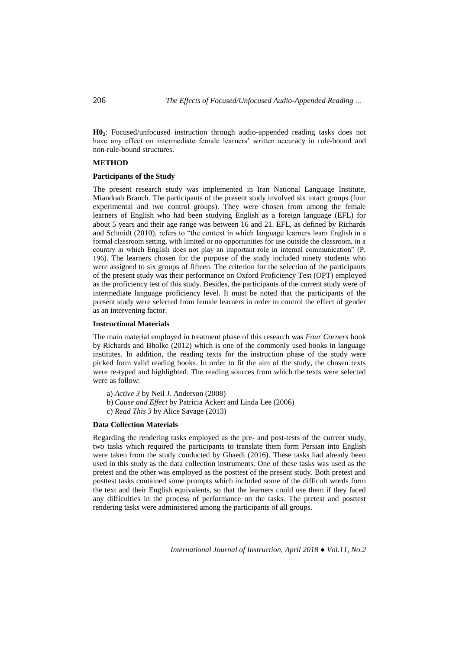**H02**: Focused/unfocused instruction through audio-appended reading tasks does not have any effect on intermediate female learners' written accuracy in rule-bound and non-rule-bound structures.

## **METHOD**

## **Participants of the Study**

The present research study was implemented in Iran National Language Institute, Miandoab Branch. The participants of the present study involved six intact groups (four experimental and two control groups). They were chosen from among the female learners of English who had been studying English as a foreign language (EFL) for about 5 years and their age range was between 16 and 21. EFL, as defined by Richards and Schmidt (2010), refers to "the context in which language learners learn English in a formal classroom setting, with limited or no opportunities for use outside the classroom, in a country in which English does not play an important role in internal communication" (P. 196). The learners chosen for the purpose of the study included ninety students who were assigned to six groups of fifteen. The criterion for the selection of the participants of the present study was their performance on Oxford Proficiency Test (OPT) employed as the proficiency test of this study. Besides, the participants of the current study were of intermediate language proficiency level. It must be noted that the participants of the present study were selected from female learners in order to control the effect of gender as an intervening factor.

## **Instructional Materials**

The main material employed in treatment phase of this research was *Four Corners* book by Richards and Bholke (2012) which is one of the commonly used books in language institutes. In addition, the reading texts for the instruction phase of the study were picked form valid reading books. In order to fit the aim of the study, the chosen texts were re-typed and highlighted. The reading sources from which the texts were selected were as follow:

- a) *Active 3* by Neil J. Anderson (2008)
- b) *Cause and Effect* by Patricia Ackert and Linda Lee (2006)
- c) *Read This 3* by Alice Savage (2013)

#### **Data Collection Materials**

Regarding the rendering tasks employed as the pre- and post-tests of the current study, two tasks which required the participants to translate them form Persian into English were taken from the study conducted by Ghaedi (2016). These tasks had already been used in this study as the data collection instruments. One of these tasks was used as the pretest and the other was employed as the posttest of the present study. Both pretest and posttest tasks contained some prompts which included some of the difficult words form the text and their English equivalents, so that the learners could use them if they faced any difficulties in the process of performance on the tasks. The pretest and posttest rendering tasks were administered among the participants of all groups.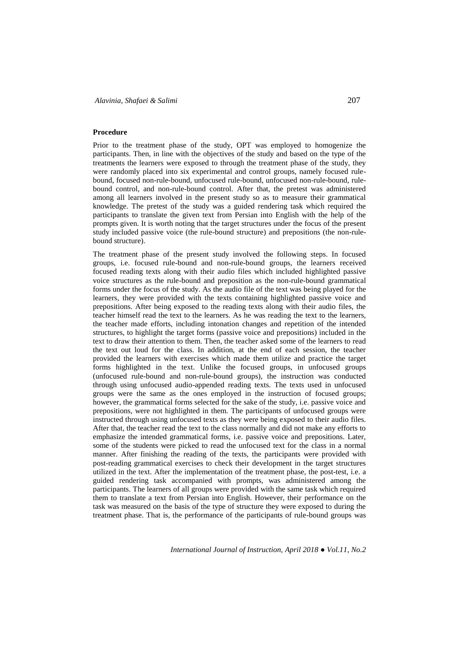### **Procedure**

Prior to the treatment phase of the study, OPT was employed to homogenize the participants. Then, in line with the objectives of the study and based on the type of the treatments the learners were exposed to through the treatment phase of the study, they were randomly placed into six experimental and control groups, namely focused rulebound, focused non-rule-bound, unfocused rule-bound, unfocused non-rule-bound, rulebound control, and non-rule-bound control. After that, the pretest was administered among all learners involved in the present study so as to measure their grammatical knowledge. The pretest of the study was a guided rendering task which required the participants to translate the given text from Persian into English with the help of the prompts given. It is worth noting that the target structures under the focus of the present study included passive voice (the rule-bound structure) and prepositions (the non-rulebound structure).

The treatment phase of the present study involved the following steps. In focused groups, i.e. focused rule-bound and non-rule-bound groups, the learners received focused reading texts along with their audio files which included highlighted passive voice structures as the rule-bound and preposition as the non-rule-bound grammatical forms under the focus of the study. As the audio file of the text was being played for the learners, they were provided with the texts containing highlighted passive voice and prepositions. After being exposed to the reading texts along with their audio files, the teacher himself read the text to the learners. As he was reading the text to the learners, the teacher made efforts, including intonation changes and repetition of the intended structures, to highlight the target forms (passive voice and prepositions) included in the text to draw their attention to them. Then, the teacher asked some of the learners to read the text out loud for the class. In addition, at the end of each session, the teacher provided the learners with exercises which made them utilize and practice the target forms highlighted in the text. Unlike the focused groups, in unfocused groups (unfocused rule-bound and non-rule-bound groups), the instruction was conducted through using unfocused audio-appended reading texts. The texts used in unfocused groups were the same as the ones employed in the instruction of focused groups; however, the grammatical forms selected for the sake of the study, i.e. passive voice and prepositions, were not highlighted in them. The participants of unfocused groups were instructed through using unfocused texts as they were being exposed to their audio files. After that, the teacher read the text to the class normally and did not make any efforts to emphasize the intended grammatical forms, i.e. passive voice and prepositions. Later, some of the students were picked to read the unfocused text for the class in a normal manner. After finishing the reading of the texts, the participants were provided with post-reading grammatical exercises to check their development in the target structures utilized in the text. After the implementation of the treatment phase, the post-test, i.e. a guided rendering task accompanied with prompts, was administered among the participants. The learners of all groups were provided with the same task which required them to translate a text from Persian into English. However, their performance on the task was measured on the basis of the type of structure they were exposed to during the treatment phase. That is, the performance of the participants of rule-bound groups was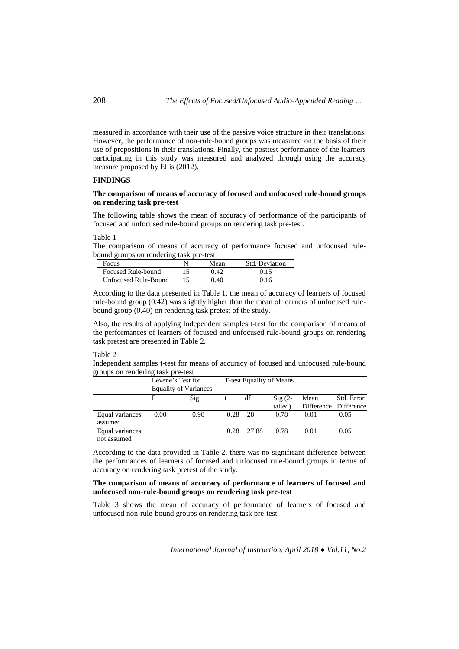measured in accordance with their use of the passive voice structure in their translations. However, the performance of non-rule-bound groups was measured on the basis of their use of prepositions in their translations. Finally, the posttest performance of the learners participating in this study was measured and analyzed through using the accuracy measure proposed by Ellis (2012).

# **FINDINGS**

# **The comparison of means of accuracy of focused and unfocused rule-bound groups on rendering task pre-test**

The following table shows the mean of accuracy of performance of the participants of focused and unfocused rule-bound groups on rendering task pre-test.

Table 1

The comparison of means of accuracy of performance focused and unfocused rulebound groups on rendering task pre-test

| Focus                | Mean | Std. Deviation |
|----------------------|------|----------------|
| Focused Rule-bound   | N 42 |                |
| Unfocused Rule-Bound | በ 4በ |                |

According to the data presented in Table 1, the mean of accuracy of learners of focused rule-bound group (0.42) was slightly higher than the mean of learners of unfocused rulebound group (0.40) on rendering task pretest of the study.

Also, the results of applying Independent samples t-test for the comparison of means of the performances of learners of focused and unfocused rule-bound groups on rendering task pretest are presented in Table 2.

## Table 2

Independent samples t-test for means of accuracy of focused and unfocused rule-bound groups on rendering task pre-test

|                                | Levene's Test for<br><b>Equality of Variances</b> |      | T-test Equality of Means |       |                               |      |                                     |
|--------------------------------|---------------------------------------------------|------|--------------------------|-------|-------------------------------|------|-------------------------------------|
|                                | F                                                 | Sig. |                          | df    | $\mathrm{Sig}(2-)$<br>tailed) | Mean | Std. Error<br>Difference Difference |
| Equal variances<br>assumed     | 0.00                                              | 0.98 | 0.28                     | -28   | 0.78                          | 0.01 | 0.05                                |
| Equal variances<br>not assumed |                                                   |      | 0.28                     | 27.88 | 0.78                          | 0.01 | 0.05                                |

According to the data provided in Table 2, there was no significant difference between the performances of learners of focused and unfocused rule-bound groups in terms of accuracy on rendering task pretest of the study.

# **The comparison of means of accuracy of performance of learners of focused and unfocused non-rule-bound groups on rendering task pre-test**

Table 3 shows the mean of accuracy of performance of learners of focused and unfocused non-rule-bound groups on rendering task pre-test.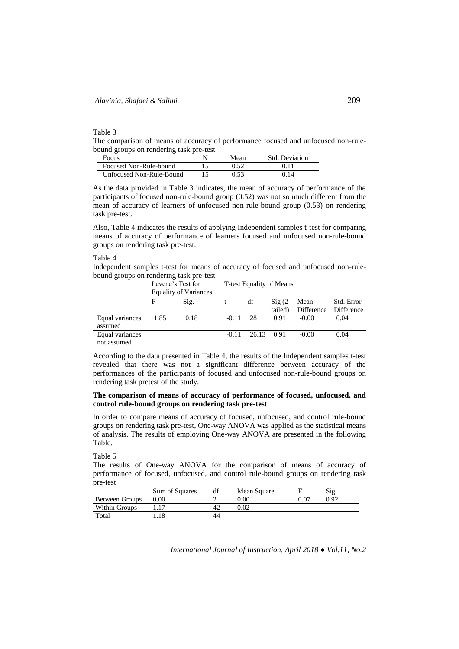Table 3

The comparison of means of accuracy of performance focused and unfocused non-rulebound groups on rendering task pre-test

| <b>Focus</b>             | Mean | . Deviation<br>Std |
|--------------------------|------|--------------------|
| Focused Non-Rule-bound   |      |                    |
| Unfocused Non-Rule-Bound | በ ና3 |                    |

As the data provided in Table 3 indicates, the mean of accuracy of performance of the participants of focused non-rule-bound group (0.52) was not so much different from the mean of accuracy of learners of unfocused non-rule-bound group (0.53) on rendering task pre-test.

Also, Table 4 indicates the results of applying Independent samples t-test for comparing means of accuracy of performance of learners focused and unfocused non-rule-bound groups on rendering task pre-test.

Table 4

Independent samples t-test for means of accuracy of focused and unfocused non-rulebound groups on rendering task pre-test

|                                | Levene's Test for<br><b>Equality of Variances</b> |      |         |            | T-test Equality of Means      |                    |                          |
|--------------------------------|---------------------------------------------------|------|---------|------------|-------------------------------|--------------------|--------------------------|
|                                | F                                                 | Sig. |         | df         | $\mathrm{Sig}(2-)$<br>tailed) | Mean<br>Difference | Std. Error<br>Difference |
| Equal variances<br>assumed     | 1.85                                              | 0.18 | $-0.11$ | -28        | 0.91                          | $-0.00$            | 0.04                     |
| Equal variances<br>not assumed |                                                   |      | $-0.11$ | 26.13 0.91 |                               | $-0.00$            | 0.04                     |

According to the data presented in Table 4, the results of the Independent samples t-test revealed that there was not a significant difference between accuracy of the performances of the participants of focused and unfocused non-rule-bound groups on rendering task pretest of the study.

# **The comparison of means of accuracy of performance of focused, unfocused, and control rule-bound groups on rendering task pre-test**

In order to compare means of accuracy of focused, unfocused, and control rule-bound groups on rendering task pre-test, One-way ANOVA was applied as the statistical means of analysis. The results of employing One-way ANOVA are presented in the following Table.

Table 5

The results of One-way ANOVA for the comparison of means of accuracy of performance of focused, unfocused, and control rule-bound groups on rendering task pre-test

|                       | Sum of Squares | Mean Square |      |
|-----------------------|----------------|-------------|------|
| <b>Between Groups</b> | $0.00\,$       | $0.00\,$    | ∩ റാ |
| Within Groups         |                |             |      |
| Total                 |                |             |      |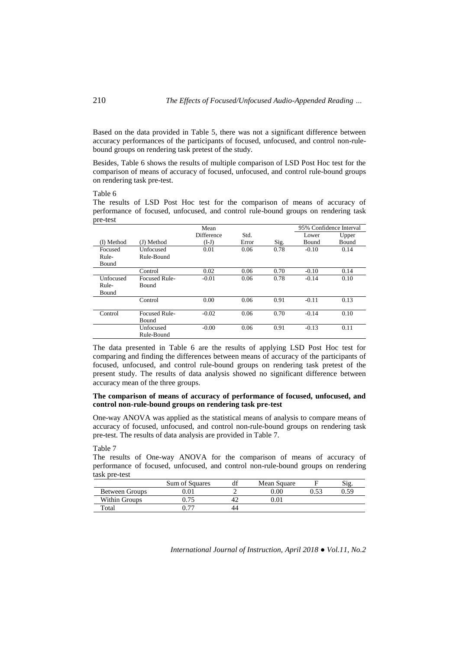Based on the data provided in Table 5, there was not a significant difference between accuracy performances of the participants of focused, unfocused, and control non-rulebound groups on rendering task pretest of the study.

Besides, Table 6 shows the results of multiple comparison of LSD Post Hoc test for the comparison of means of accuracy of focused, unfocused, and control rule-bound groups on rendering task pre-test.

Table 6

The results of LSD Post Hoc test for the comparison of means of accuracy of performance of focused, unfocused, and control rule-bound groups on rendering task pre-test

|            |               | Mean       |       |      |         | 95% Confidence Interval |
|------------|---------------|------------|-------|------|---------|-------------------------|
|            |               | Difference | Std.  |      | Lower   | Upper                   |
| (I) Method | (J) Method    | $(I-J)$    | Error | Sig. | Bound   | Bound                   |
| Focused    | Unfocused     | 0.01       | 0.06  | 0.78 | $-0.10$ | 0.14                    |
| Rule-      | Rule-Bound    |            |       |      |         |                         |
| Bound      |               |            |       |      |         |                         |
|            | Control       | 0.02       | 0.06  | 0.70 | $-0.10$ | 0.14                    |
| Unfocused  | Focused Rule- | $-0.01$    | 0.06  | 0.78 | $-0.14$ | 0.10                    |
| Rule-      | <b>Bound</b>  |            |       |      |         |                         |
| Bound      |               |            |       |      |         |                         |
|            | Control       | 0.00       | 0.06  | 0.91 | $-0.11$ | 0.13                    |
|            |               |            |       |      |         |                         |
| Control    | Focused Rule- | $-0.02$    | 0.06  | 0.70 | $-0.14$ | 0.10                    |
|            | Bound         |            |       |      |         |                         |
|            | Unfocused     | $-0.00$    | 0.06  | 0.91 | $-0.13$ | 0.11                    |
|            | Rule-Bound    |            |       |      |         |                         |

The data presented in Table 6 are the results of applying LSD Post Hoc test for comparing and finding the differences between means of accuracy of the participants of focused, unfocused, and control rule-bound groups on rendering task pretest of the present study. The results of data analysis showed no significant difference between accuracy mean of the three groups.

## **The comparison of means of accuracy of performance of focused, unfocused, and control non-rule-bound groups on rendering task pre-test**

One-way ANOVA was applied as the statistical means of analysis to compare means of accuracy of focused, unfocused, and control non-rule-bound groups on rendering task pre-test. The results of data analysis are provided in Table 7.

#### Table 7

The results of One-way ANOVA for the comparison of means of accuracy of performance of focused, unfocused, and control non-rule-bound groups on rendering task pre-test

|                       | <b>Sum of Squares</b> | αı | Mean Square |             |
|-----------------------|-----------------------|----|-------------|-------------|
| <b>Between Groups</b> | 0.01                  |    | 2.00        | <b>J.59</b> |
| Within Groups         |                       |    |             |             |
| Total                 | 77                    | 44 |             |             |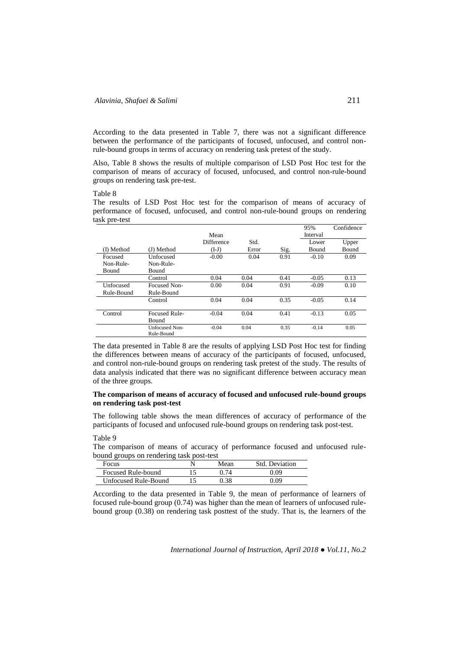According to the data presented in Table 7, there was not a significant difference between the performance of the participants of focused, unfocused, and control nonrule-bound groups in terms of accuracy on rendering task pretest of the study.

Also, Table 8 shows the results of multiple comparison of LSD Post Hoc test for the comparison of means of accuracy of focused, unfocused, and control non-rule-bound groups on rendering task pre-test.

Table 8

The results of LSD Post Hoc test for the comparison of means of accuracy of performance of focused, unfocused, and control non-rule-bound groups on rendering task pre-test

|            |                      |                   |       |      | 95%      | Confidence |
|------------|----------------------|-------------------|-------|------|----------|------------|
|            |                      | Mean              |       |      | Interval |            |
|            |                      | <b>Difference</b> | Std.  |      | Lower    | Upper      |
| (I) Method | (J) Method           | $(I-J)$           | Error | Sig. | Bound    | Bound      |
| Focused    | Unfocused            | $-0.00$           | 0.04  | 0.91 | $-0.10$  | 0.09       |
| Non-Rule-  | Non-Rule-            |                   |       |      |          |            |
| Bound      | <b>Bound</b>         |                   |       |      |          |            |
|            | Control              | 0.04              | 0.04  | 0.41 | $-0.05$  | 0.13       |
| Unfocused  | Focused Non-         | 0.00              | 0.04  | 0.91 | $-0.09$  | 0.10       |
| Rule-Bound | Rule-Bound           |                   |       |      |          |            |
|            | Control              | 0.04              | 0.04  | 0.35 | $-0.05$  | 0.14       |
|            |                      |                   |       |      |          |            |
| Control    | <b>Focused Rule-</b> | $-0.04$           | 0.04  | 0.41 | $-0.13$  | 0.05       |
|            | <b>Bound</b>         |                   |       |      |          |            |
|            | Unfocused Non-       | $-0.04$           | 0.04  | 0.35 | $-0.14$  | 0.05       |
|            | Rule-Bound           |                   |       |      |          |            |

The data presented in Table 8 are the results of applying LSD Post Hoc test for finding the differences between means of accuracy of the participants of focused, unfocused, and control non-rule-bound groups on rendering task pretest of the study. The results of data analysis indicated that there was no significant difference between accuracy mean of the three groups.

# **The comparison of means of accuracy of focused and unfocused rule-bound groups on rendering task post-test**

The following table shows the mean differences of accuracy of performance of the participants of focused and unfocused rule-bound groups on rendering task post-test.

### Table 9

The comparison of means of accuracy of performance focused and unfocused rulebound groups on rendering task post-test

| Focus                | Иеаn | Std. Deviation |
|----------------------|------|----------------|
| Focused Rule-bound   |      | .).09          |
| Unfocused Rule-Bound | ).38 | ) ()9          |

According to the data presented in Table 9, the mean of performance of learners of focused rule-bound group (0.74) was higher than the mean of learners of unfocused rulebound group (0.38) on rendering task posttest of the study. That is, the learners of the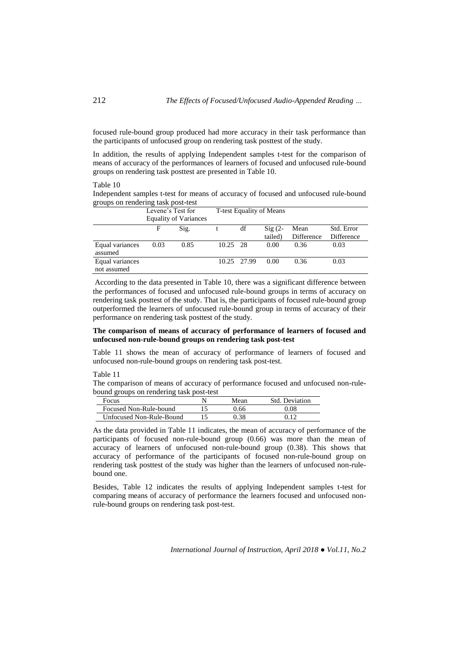focused rule-bound group produced had more accuracy in their task performance than the participants of unfocused group on rendering task posttest of the study.

In addition, the results of applying Independent samples t-test for the comparison of means of accuracy of the performances of learners of focused and unfocused rule-bound groups on rendering task posttest are presented in Table 10.

## Table 10

Independent samples t-test for means of accuracy of focused and unfocused rule-bound groups on rendering task post-test

|                                | Levene's Test for | <b>Equality of Variances</b> | T-test Equality of Means |             |                    |            |            |
|--------------------------------|-------------------|------------------------------|--------------------------|-------------|--------------------|------------|------------|
|                                | F                 | Sig.                         |                          | df          | $\mathrm{Sig}(2-)$ | Mean       | Std. Error |
|                                |                   |                              |                          |             | tailed)            | Difference | Difference |
| Equal variances<br>assumed     | 0.03              | 0.85                         | 10.25 28                 |             | 0.00               | 0.36       | 0.03       |
| Equal variances<br>not assumed |                   |                              |                          | 10.25 27.99 | 0.00               | 0.36       | 0.03       |

According to the data presented in Table 10, there was a significant difference between the performances of focused and unfocused rule-bound groups in terms of accuracy on rendering task posttest of the study. That is, the participants of focused rule-bound group outperformed the learners of unfocused rule-bound group in terms of accuracy of their performance on rendering task posttest of the study.

## **The comparison of means of accuracy of performance of learners of focused and unfocused non-rule-bound groups on rendering task post-test**

Table 11 shows the mean of accuracy of performance of learners of focused and unfocused non-rule-bound groups on rendering task post-test.

#### Table 11

The comparison of means of accuracy of performance focused and unfocused non-rulebound groups on rendering task post-test

| Focus                    | Mean | Std. Deviation |
|--------------------------|------|----------------|
| Focused Non-Rule-bound   | ን 66 | 0.08           |
| Unfocused Non-Rule-Bound | 0.38 |                |

As the data provided in Table 11 indicates, the mean of accuracy of performance of the participants of focused non-rule-bound group (0.66) was more than the mean of accuracy of learners of unfocused non-rule-bound group (0.38). This shows that accuracy of performance of the participants of focused non-rule-bound group on rendering task posttest of the study was higher than the learners of unfocused non-rulebound one.

Besides, Table 12 indicates the results of applying Independent samples t-test for comparing means of accuracy of performance the learners focused and unfocused nonrule-bound groups on rendering task post-test.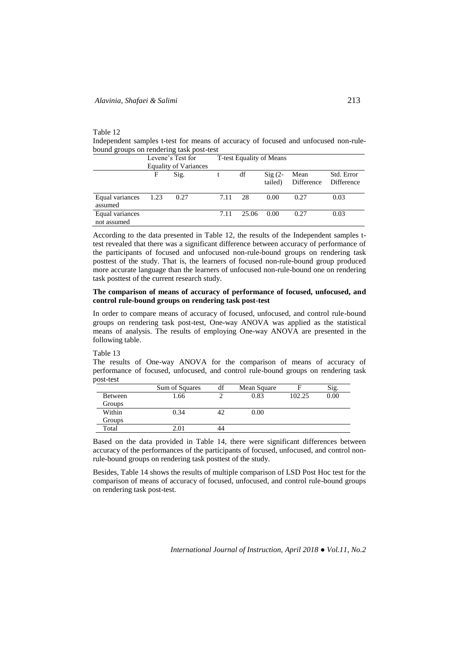# Table 12

Independent samples t-test for means of accuracy of focused and unfocused non-rulebound groups on rendering task post-test

|                 |      | Levene's Test for            | T-test Equality of Means |       |                    |            |            |
|-----------------|------|------------------------------|--------------------------|-------|--------------------|------------|------------|
|                 |      | <b>Equality of Variances</b> |                          |       |                    |            |            |
|                 | F    | Sig.                         |                          | df    | $\mathrm{Sig}(2-)$ | Mean       | Std. Error |
|                 |      |                              |                          |       | tailed)            | Difference | Difference |
|                 |      |                              |                          |       |                    |            |            |
| Equal variances | 1.23 | 0.27                         | 7.11                     | 28    | 0.00               | 0.27       | 0.03       |
| assumed         |      |                              |                          |       |                    |            |            |
| Equal variances |      |                              | 7.11                     | 25.06 | 0.00               | 0.27       | 0.03       |
| not assumed     |      |                              |                          |       |                    |            |            |

According to the data presented in Table 12, the results of the Independent samples ttest revealed that there was a significant difference between accuracy of performance of the participants of focused and unfocused non-rule-bound groups on rendering task posttest of the study. That is, the learners of focused non-rule-bound group produced more accurate language than the learners of unfocused non-rule-bound one on rendering task posttest of the current research study.

## **The comparison of means of accuracy of performance of focused, unfocused, and control rule-bound groups on rendering task post-test**

In order to compare means of accuracy of focused, unfocused, and control rule-bound groups on rendering task post-test, One-way ANOVA was applied as the statistical means of analysis. The results of employing One-way ANOVA are presented in the following table.

### Table 13

The results of One-way ANOVA for the comparison of means of accuracy of performance of focused, unfocused, and control rule-bound groups on rendering task post-test

|               | Sum of Squares | df | Mean Square |        | Sig. |
|---------------|----------------|----|-------------|--------|------|
| Between       | 1.66           |    | 0.83        | 102.25 | 0.00 |
| <b>Groups</b> |                |    |             |        |      |
| Within        | 0.34           | 42 | 0.00        |        |      |
| Groups        |                |    |             |        |      |
| Total         | 2.01           | 44 |             |        |      |

Based on the data provided in Table 14, there were significant differences between accuracy of the performances of the participants of focused, unfocused, and control nonrule-bound groups on rendering task posttest of the study.

Besides, Table 14 shows the results of multiple comparison of LSD Post Hoc test for the comparison of means of accuracy of focused, unfocused, and control rule-bound groups on rendering task post-test.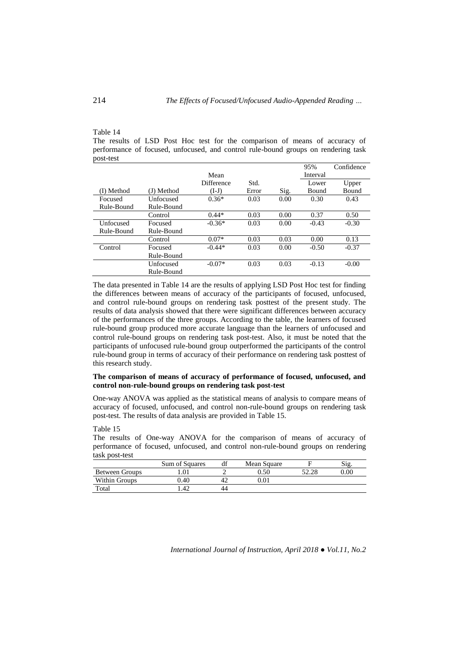# Table 14

The results of LSD Post Hoc test for the comparison of means of accuracy of performance of focused, unfocused, and control rule-bound groups on rendering task post-test 95% Confidence

|            |            |                   |       |      | 99%      | Commuence |
|------------|------------|-------------------|-------|------|----------|-----------|
|            |            | Mean              |       |      | Interval |           |
|            |            | <b>Difference</b> | Std.  |      | Lower    | Upper     |
| (I) Method | (J) Method | $(I-J)$           | Error | Sig. | Bound    | Bound     |
| Focused    | Unfocused  | $0.36*$           | 0.03  | 0.00 | 0.30     | 0.43      |
| Rule-Bound | Rule-Bound |                   |       |      |          |           |
|            | Control    | $0.44*$           | 0.03  | 0.00 | 0.37     | 0.50      |
| Unfocused  | Focused    | $-0.36*$          | 0.03  | 0.00 | $-0.43$  | $-0.30$   |
| Rule-Bound | Rule-Bound |                   |       |      |          |           |
|            | Control    | $0.07*$           | 0.03  | 0.03 | 0.00     | 0.13      |
| Control    | Focused    | $-0.44*$          | 0.03  | 0.00 | $-0.50$  | $-0.37$   |
|            | Rule-Bound |                   |       |      |          |           |
|            | Unfocused  | $-0.07*$          | 0.03  | 0.03 | $-0.13$  | $-0.00$   |
|            | Rule-Bound |                   |       |      |          |           |

The data presented in Table 14 are the results of applying LSD Post Hoc test for finding the differences between means of accuracy of the participants of focused, unfocused, and control rule-bound groups on rendering task posttest of the present study. The results of data analysis showed that there were significant differences between accuracy of the performances of the three groups. According to the table, the learners of focused rule-bound group produced more accurate language than the learners of unfocused and control rule-bound groups on rendering task post-test. Also, it must be noted that the participants of unfocused rule-bound group outperformed the participants of the control rule-bound group in terms of accuracy of their performance on rendering task posttest of this research study.

# **The comparison of means of accuracy of performance of focused, unfocused, and control non-rule-bound groups on rendering task post-test**

One-way ANOVA was applied as the statistical means of analysis to compare means of accuracy of focused, unfocused, and control non-rule-bound groups on rendering task post-test. The results of data analysis are provided in Table 15.

Table 15

The results of One-way ANOVA for the comparison of means of accuracy of performance of focused, unfocused, and control non-rule-bound groups on rendering task post-test

|                       | Sum of Squares   | df | Mean Square |       | Sig.     |
|-----------------------|------------------|----|-------------|-------|----------|
| <b>Between Groups</b> |                  |    | 0.50        | 57.70 | $0.00\,$ |
| Within Groups         | 0.40             |    | $\rm 0.01$  |       |          |
| Total                 | $\Lambda^{\sim}$ | 44 |             |       |          |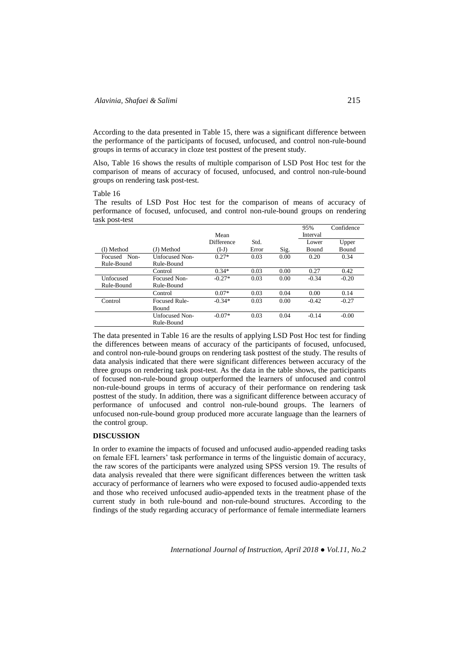According to the data presented in Table 15, there was a significant difference between the performance of the participants of focused, unfocused, and control non-rule-bound groups in terms of accuracy in cloze test posttest of the present study.

Also, Table 16 shows the results of multiple comparison of LSD Post Hoc test for the comparison of means of accuracy of focused, unfocused, and control non-rule-bound groups on rendering task post-test.

Table 16

The results of LSD Post Hoc test for the comparison of means of accuracy of performance of focused, unfocused, and control non-rule-bound groups on rendering task post-test

|              |                      |            |       |      | 95%          | Confidence   |
|--------------|----------------------|------------|-------|------|--------------|--------------|
|              |                      | Mean       |       |      | Interval     |              |
|              |                      | Difference | Std.  |      | Lower        | Upper        |
| (I) Method   | (J) Method           | $(I-J)$    | Error | Sig. | <b>Bound</b> | <b>Bound</b> |
| Focused Non- | Unfocused Non-       | $0.27*$    | 0.03  | 0.00 | 0.20         | 0.34         |
| Rule-Bound   | Rule-Bound           |            |       |      |              |              |
|              | Control              | $0.34*$    | 0.03  | 0.00 | 0.27         | 0.42         |
| Unfocused    | <b>Focused Non-</b>  | $-0.27*$   | 0.03  | 0.00 | $-0.34$      | $-0.20$      |
| Rule-Bound   | Rule-Bound           |            |       |      |              |              |
|              | Control              | $0.07*$    | 0.03  | 0.04 | 0.00         | 0.14         |
| Control      | <b>Focused Rule-</b> | $-0.34*$   | 0.03  | 0.00 | $-0.42$      | $-0.27$      |
|              | <b>Bound</b>         |            |       |      |              |              |
|              | Unfocused Non-       | $-0.07*$   | 0.03  | 0.04 | $-0.14$      | $-0.00$      |
|              | Rule-Bound           |            |       |      |              |              |

The data presented in Table 16 are the results of applying LSD Post Hoc test for finding the differences between means of accuracy of the participants of focused, unfocused, and control non-rule-bound groups on rendering task posttest of the study. The results of data analysis indicated that there were significant differences between accuracy of the three groups on rendering task post-test. As the data in the table shows, the participants of focused non-rule-bound group outperformed the learners of unfocused and control non-rule-bound groups in terms of accuracy of their performance on rendering task posttest of the study. In addition, there was a significant difference between accuracy of performance of unfocused and control non-rule-bound groups. The learners of unfocused non-rule-bound group produced more accurate language than the learners of the control group.

## **DISCUSSION**

In order to examine the impacts of focused and unfocused audio-appended reading tasks on female EFL learners' task performance in terms of the linguistic domain of accuracy, the raw scores of the participants were analyzed using SPSS version 19. The results of data analysis revealed that there were significant differences between the written task accuracy of performance of learners who were exposed to focused audio-appended texts and those who received unfocused audio-appended texts in the treatment phase of the current study in both rule-bound and non-rule-bound structures. According to the findings of the study regarding accuracy of performance of female intermediate learners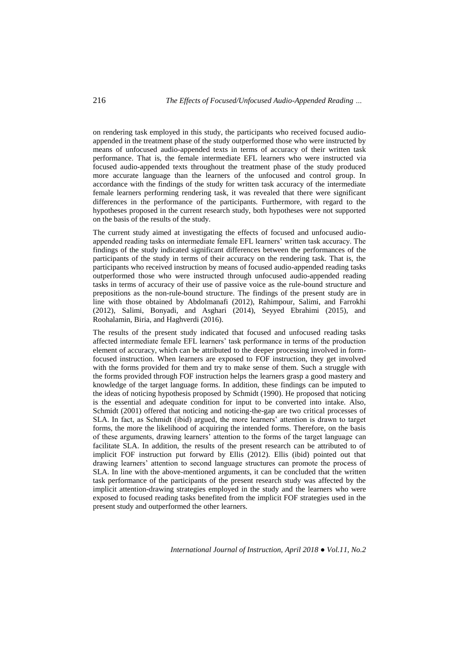on rendering task employed in this study, the participants who received focused audioappended in the treatment phase of the study outperformed those who were instructed by means of unfocused audio-appended texts in terms of accuracy of their written task performance. That is, the female intermediate EFL learners who were instructed via focused audio-appended texts throughout the treatment phase of the study produced more accurate language than the learners of the unfocused and control group. In accordance with the findings of the study for written task accuracy of the intermediate female learners performing rendering task, it was revealed that there were significant differences in the performance of the participants. Furthermore, with regard to the hypotheses proposed in the current research study, both hypotheses were not supported on the basis of the results of the study.

The current study aimed at investigating the effects of focused and unfocused audioappended reading tasks on intermediate female EFL learners' written task accuracy. The findings of the study indicated significant differences between the performances of the participants of the study in terms of their accuracy on the rendering task. That is, the participants who received instruction by means of focused audio-appended reading tasks outperformed those who were instructed through unfocused audio-appended reading tasks in terms of accuracy of their use of passive voice as the rule-bound structure and prepositions as the non-rule-bound structure. The findings of the present study are in line with those obtained by Abdolmanafi (2012), Rahimpour, Salimi, and Farrokhi (2012), Salimi, Bonyadi, and Asghari (2014), Seyyed Ebrahimi (2015), and Roohalamin, Biria, and Haghverdi (2016).

The results of the present study indicated that focused and unfocused reading tasks affected intermediate female EFL learners' task performance in terms of the production element of accuracy, which can be attributed to the deeper processing involved in formfocused instruction. When learners are exposed to FOF instruction, they get involved with the forms provided for them and try to make sense of them. Such a struggle with the forms provided through FOF instruction helps the learners grasp a good mastery and knowledge of the target language forms. In addition, these findings can be imputed to the ideas of noticing hypothesis proposed by Schmidt (1990). He proposed that noticing is the essential and adequate condition for input to be converted into intake. Also, Schmidt (2001) offered that noticing and noticing-the-gap are two critical processes of SLA. In fact, as Schmidt (ibid) argued, the more learners' attention is drawn to target forms, the more the likelihood of acquiring the intended forms. Therefore, on the basis of these arguments, drawing learners' attention to the forms of the target language can facilitate SLA. In addition, the results of the present research can be attributed to of implicit FOF instruction put forward by Ellis (2012). Ellis (ibid) pointed out that drawing learners' attention to second language structures can promote the process of SLA. In line with the above-mentioned arguments, it can be concluded that the written task performance of the participants of the present research study was affected by the implicit attention-drawing strategies employed in the study and the learners who were exposed to focused reading tasks benefited from the implicit FOF strategies used in the present study and outperformed the other learners.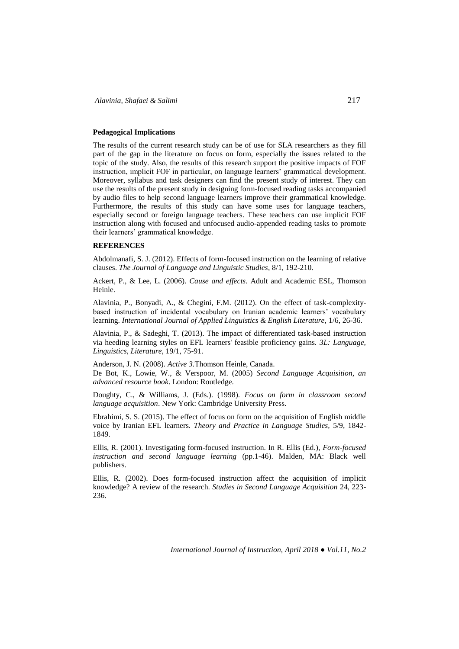## **Pedagogical Implications**

The results of the current research study can be of use for SLA researchers as they fill part of the gap in the literature on focus on form, especially the issues related to the topic of the study. Also, the results of this research support the positive impacts of FOF instruction, implicit FOF in particular, on language learners' grammatical development. Moreover, syllabus and task designers can find the present study of interest. They can use the results of the present study in designing form-focused reading tasks accompanied by audio files to help second language learners improve their grammatical knowledge. Furthermore, the results of this study can have some uses for language teachers, especially second or foreign language teachers. These teachers can use implicit FOF instruction along with focused and unfocused audio-appended reading tasks to promote their learners' grammatical knowledge.

#### **REFERENCES**

Abdolmanafi, S. J. (2012). Effects of form-focused instruction on the learning of relative clauses. *The Journal of Language and Linguistic Studies*, 8/1, 192-210.

Ackert, P., & Lee, L. (2006). *Cause and effects.* Adult and Academic ESL, Thomson Heinle.

Alavinia, P., Bonyadi, A., & Chegini, F.M. (2012). On the effect of task-complexitybased instruction of incidental vocabulary on Iranian academic learners' vocabulary learning. *International Journal of Applied Linguistics & English Literature, 1/6, 26-36.* 

Alavinia, P., & Sadeghi, T. (2013). The impact of differentiated task-based instruction via heeding learning styles on EFL learners' feasible proficiency gains. *3L: Language, Linguistics, Literature,* 19/1, 75-91.

Anderson, J. N. (2008). *Active 3.*Thomson Heinle, Canada.

De Bot, K., Lowie, W., & Verspoor, M. (2005) *Second Language Acquisition, an advanced resource book*. London: Routledge.

Doughty, C., & Williams, J. (Eds.). (1998). *Focus on form in classroom second language acquisition*. New York: Cambridge University Press.

Ebrahimi, S. S. (2015). The effect of focus on form on the acquisition of English middle voice by Iranian EFL learners. *Theory and Practice in Language Studies,* 5/9, 1842- 1849.

Ellis, R. (2001). Investigating form-focused instruction. In R. Ellis (Ed.), *Form-focused instruction and second language learning* (pp.1-46). Malden, MA: Black well publishers.

Ellis, R. (2002). Does form-focused instruction affect the acquisition of implicit knowledge? A review of the research. *Studies in Second Language Acquisition* 24, 223- 236.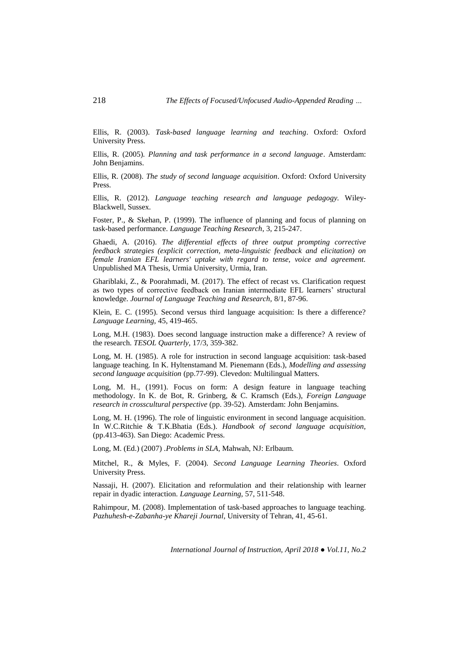Ellis, R. (2003). *Task-based language learning and teaching*. Oxford: Oxford University Press.

Ellis, R. (2005)*. Planning and task performance in a second language*. Amsterdam: John Benjamins.

Ellis, R. (2008). *The study of second language acquisition*. Oxford: Oxford University Press.

Ellis, R. (2012). *Language teaching research and language pedagogy.* Wiley-Blackwell, Sussex.

Foster, P., & Skehan, P. (1999). The influence of planning and focus of planning on task-based performance. *Language Teaching Research*, 3, 215-247.

Ghaedi, A. (2016). *The differential effects of three output prompting corrective feedback strategies (explicit correction, meta-linguistic feedback and elicitation) on female Iranian EFL learners' uptake with regard to tense, voice and agreement.* Unpublished MA Thesis, Urmia University, Urmia, Iran.

Ghariblaki, Z., & Poorahmadi, M. (2017). The effect of recast vs. Clarification request as two types of corrective feedback on Iranian intermediate EFL learners' structural knowledge. *Journal of Language Teaching and Research,* 8/1, 87-96.

Klein, E. C. (1995). Second versus third language acquisition: Is there a difference? *Language Learning,* 45, 419-465.

Long, M.H. (1983). Does second language instruction make a difference? A review of the research. *TESOL Quarterly,* 17/3, 359-382.

Long, M. H. (1985). A role for instruction in second language acquisition: task-based language teaching. In K. Hyltenstamand M. Pienemann (Eds.), *Modelling and assessing second language acquisition* (pp.77-99). Clevedon: Multilingual Matters.

Long, M. H., (1991). Focus on form: A design feature in language teaching methodology. In K. de Bot, R. Grinberg, & C. Kramsch (Eds.), *Foreign Language research in crosscultural perspective* (pp. 39-52). Amsterdam: John Benjamins.

Long, M. H. (1996). The role of linguistic environment in second language acquisition*.*  In W.C.Ritchie & T.K.Bhatia (Eds.). *Handbook of second language acquisition,* (pp.413-463). San Diego: Academic Press.

Long, M. (Ed.) (2007) .*Problems in SLA,* Mahwah, NJ: Erlbaum.

Mitchel, R., & Myles, F. (2004). *Second Language Learning Theories*. Oxford University Press.

Nassaji, H. (2007). Elicitation and reformulation and their relationship with learner repair in dyadic interaction. *Language Learning,* 57, 511-548.

Rahimpour, M. (2008). Implementation of task-based approaches to language teaching. *Pazhuhesh-e-Zabanha-ye Khareji Journal*, University of Tehran, 41, 45-61.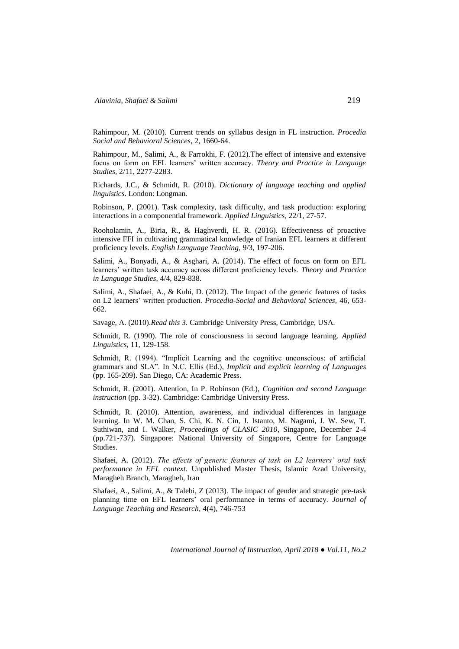Rahimpour, M. (2010). Current trends on syllabus design in FL instruction. *Procedia Social and Behavioral Sciences*, 2, 1660-64.

Rahimpour, M., Salimi, A., & Farrokhi, F. (2012).The effect of intensive and extensive focus on form on EFL learners' written accuracy. *Theory and Practice in Language Studies,* 2/11, 2277-2283.

Richards, J.C., & Schmidt, R. (2010). *Dictionary of language teaching and applied linguistics*. London: Longman.

Robinson, P. (2001). Task complexity, task difficulty, and task production: exploring interactions in a componential framework. *Applied Linguistics*, 22/1, 27-57.

Rooholamin, A., Biria, R., & Haghverdi, H. R. (2016). Effectiveness of proactive intensive FFI in cultivating grammatical knowledge of Iranian EFL learners at different proficiency levels. *English Language Teaching,* 9/3, 197-206.

Salimi, A., Bonyadi, A., & Asghari, A. (2014). The effect of focus on form on EFL learners' written task accuracy across different proficiency levels. *Theory and Practice in Language Studies*, 4/4, 829-838.

Salimi, A., Shafaei, A., & Kuhi, D. (2012). The Impact of the generic features of tasks on L2 learners' written production. *Procedia-Social and Behavioral Sciences,* 46, 653- 662.

Savage, A. (2010).*Read this 3.* Cambridge University Press, Cambridge, USA.

Schmidt, R. (1990). The role of consciousness in second language learning. *Applied Linguistics,* 11, 129-158.

Schmidt, R. (1994). "Implicit Learning and the cognitive unconscious: of artificial grammars and SLA". In N.C. Ellis (Ed.), *Implicit and explicit learning of Languages* (pp. 165-209). San Diego, CA: Academic Press.

Schmidt, R. (2001). Attention, In P. Robinson (Ed.), *Cognition and second Language instruction* (pp. 3-32). Cambridge: Cambridge University Press.

Schmidt, R. (2010). Attention, awareness, and individual differences in language learning. In W. M. Chan, S. Chi, K. N. Cin, J. Istanto, M. Nagami, J. W. Sew, T. Suthiwan, and I. Walker, *Proceedings of CLASIC 2010*, Singapore, December 2-4 (pp.721-737). Singapore: National University of Singapore, Centre for Language Studies.

Shafaei, A. (2012). *The effects of generic features of task on L2 learners' oral task performance in EFL context*. Unpublished Master Thesis, Islamic Azad University, Maragheh Branch, Maragheh, Iran

Shafaei, A., Salimi, A., & Talebi, Z (2013). The impact of gender and strategic pre-task planning time on EFL learners' oral performance in terms of accuracy. *Journal of Language Teaching and Research,* 4(4), 746-753